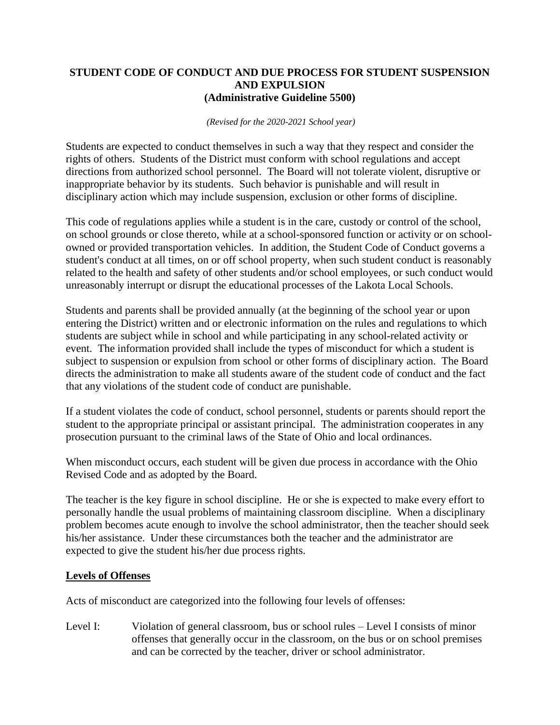#### **STUDENT CODE OF CONDUCT AND DUE PROCESS FOR STUDENT SUSPENSION AND EXPULSION (Administrative Guideline 5500)**

#### *(Revised for the 2020-2021 School year)*

Students are expected to conduct themselves in such a way that they respect and consider the rights of others. Students of the District must conform with school regulations and accept directions from authorized school personnel. The Board will not tolerate violent, disruptive or inappropriate behavior by its students. Such behavior is punishable and will result in disciplinary action which may include suspension, exclusion or other forms of discipline.

This code of regulations applies while a student is in the care, custody or control of the school, on school grounds or close thereto, while at a school-sponsored function or activity or on schoolowned or provided transportation vehicles. In addition, the Student Code of Conduct governs a student's conduct at all times, on or off school property, when such student conduct is reasonably related to the health and safety of other students and/or school employees, or such conduct would unreasonably interrupt or disrupt the educational processes of the Lakota Local Schools.

Students and parents shall be provided annually (at the beginning of the school year or upon entering the District) written and or electronic information on the rules and regulations to which students are subject while in school and while participating in any school-related activity or event. The information provided shall include the types of misconduct for which a student is subject to suspension or expulsion from school or other forms of disciplinary action. The Board directs the administration to make all students aware of the student code of conduct and the fact that any violations of the student code of conduct are punishable.

If a student violates the code of conduct, school personnel, students or parents should report the student to the appropriate principal or assistant principal. The administration cooperates in any prosecution pursuant to the criminal laws of the State of Ohio and local ordinances.

When misconduct occurs, each student will be given due process in accordance with the Ohio Revised Code and as adopted by the Board.

The teacher is the key figure in school discipline. He or she is expected to make every effort to personally handle the usual problems of maintaining classroom discipline. When a disciplinary problem becomes acute enough to involve the school administrator, then the teacher should seek his/her assistance. Under these circumstances both the teacher and the administrator are expected to give the student his/her due process rights.

# **Levels of Offenses**

Acts of misconduct are categorized into the following four levels of offenses:

Level I: Violation of general classroom, bus or school rules – Level I consists of minor offenses that generally occur in the classroom, on the bus or on school premises and can be corrected by the teacher, driver or school administrator.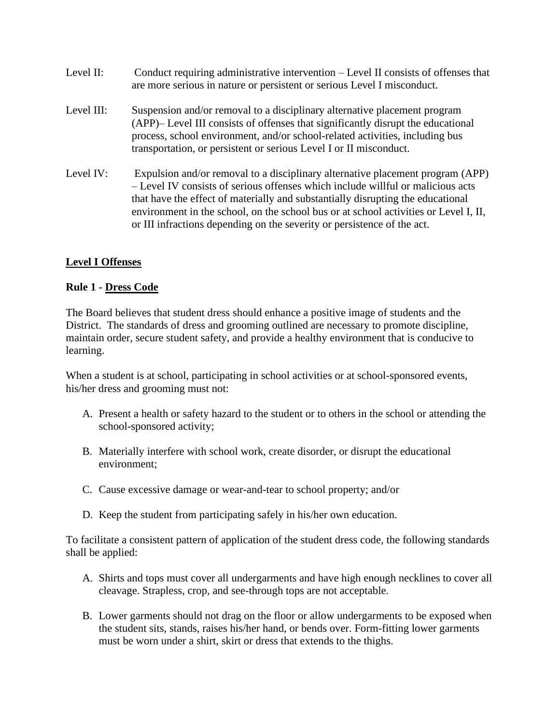| Level II:  | Conduct requiring administrative intervention – Level II consists of offenses that<br>are more serious in nature or persistent or serious Level I misconduct.                                                                                                                                                                                                                                                           |
|------------|-------------------------------------------------------------------------------------------------------------------------------------------------------------------------------------------------------------------------------------------------------------------------------------------------------------------------------------------------------------------------------------------------------------------------|
| Level III: | Suspension and/or removal to a disciplinary alternative placement program<br>(APP)– Level III consists of offenses that significantly disrupt the educational<br>process, school environment, and/or school-related activities, including bus<br>transportation, or persistent or serious Level I or II misconduct.                                                                                                     |
| Level IV:  | Expulsion and/or removal to a disciplinary alternative placement program (APP)<br>- Level IV consists of serious offenses which include willful or malicious acts<br>that have the effect of materially and substantially disrupting the educational<br>environment in the school, on the school bus or at school activities or Level I, II,<br>or III infractions depending on the severity or persistence of the act. |

# **Level I Offenses**

#### **Rule 1 - Dress Code**

The Board believes that student dress should enhance a positive image of students and the District. The standards of dress and grooming outlined are necessary to promote discipline, maintain order, secure student safety, and provide a healthy environment that is conducive to learning.

When a student is at school, participating in school activities or at school-sponsored events, his/her dress and grooming must not:

- A. Present a health or safety hazard to the student or to others in the school or attending the school-sponsored activity;
- B. Materially interfere with school work, create disorder, or disrupt the educational environment;
- C. Cause excessive damage or wear-and-tear to school property; and/or
- D. Keep the student from participating safely in his/her own education.

To facilitate a consistent pattern of application of the student dress code, the following standards shall be applied:

- A. Shirts and tops must cover all undergarments and have high enough necklines to cover all cleavage. Strapless, crop, and see-through tops are not acceptable.
- B. Lower garments should not drag on the floor or allow undergarments to be exposed when the student sits, stands, raises his/her hand, or bends over. Form-fitting lower garments must be worn under a shirt, skirt or dress that extends to the thighs.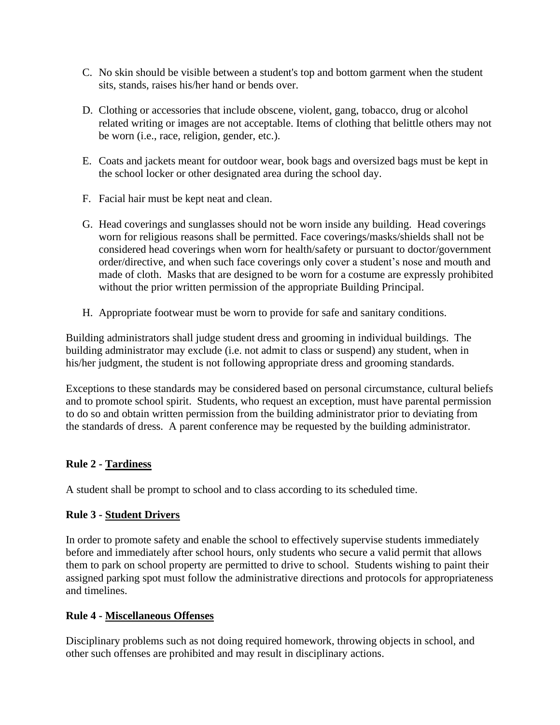- C. No skin should be visible between a student's top and bottom garment when the student sits, stands, raises his/her hand or bends over.
- D. Clothing or accessories that include obscene, violent, gang, tobacco, drug or alcohol related writing or images are not acceptable. Items of clothing that belittle others may not be worn (i.e., race, religion, gender, etc.).
- E. Coats and jackets meant for outdoor wear, book bags and oversized bags must be kept in the school locker or other designated area during the school day.
- F. Facial hair must be kept neat and clean.
- G. Head coverings and sunglasses should not be worn inside any building. Head coverings worn for religious reasons shall be permitted. Face coverings/masks/shields shall not be considered head coverings when worn for health/safety or pursuant to doctor/government order/directive, and when such face coverings only cover a student's nose and mouth and made of cloth. Masks that are designed to be worn for a costume are expressly prohibited without the prior written permission of the appropriate Building Principal.
- H. Appropriate footwear must be worn to provide for safe and sanitary conditions.

Building administrators shall judge student dress and grooming in individual buildings. The building administrator may exclude (i.e. not admit to class or suspend) any student, when in his/her judgment, the student is not following appropriate dress and grooming standards.

Exceptions to these standards may be considered based on personal circumstance, cultural beliefs and to promote school spirit. Students, who request an exception, must have parental permission to do so and obtain written permission from the building administrator prior to deviating from the standards of dress. A parent conference may be requested by the building administrator.

# **Rule 2 - Tardiness**

A student shall be prompt to school and to class according to its scheduled time.

#### **Rule 3 - Student Drivers**

In order to promote safety and enable the school to effectively supervise students immediately before and immediately after school hours, only students who secure a valid permit that allows them to park on school property are permitted to drive to school. Students wishing to paint their assigned parking spot must follow the administrative directions and protocols for appropriateness and timelines.

#### **Rule 4 - Miscellaneous Offenses**

Disciplinary problems such as not doing required homework, throwing objects in school, and other such offenses are prohibited and may result in disciplinary actions.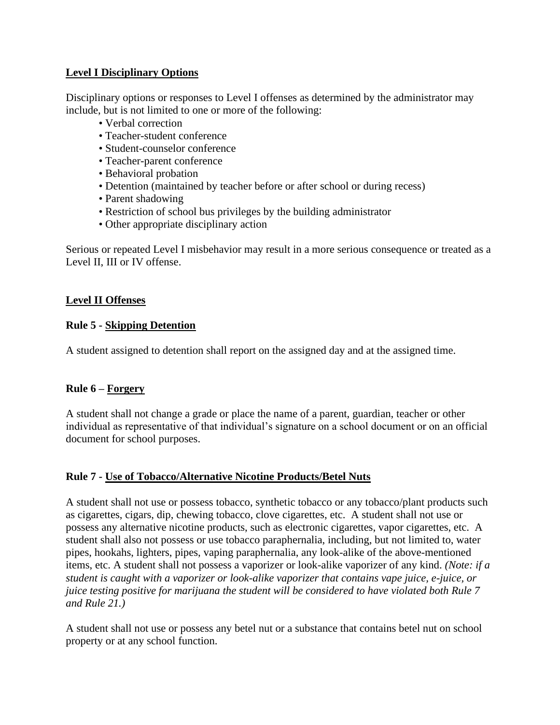# **Level I Disciplinary Options**

Disciplinary options or responses to Level I offenses as determined by the administrator may include, but is not limited to one or more of the following:

- Verbal correction
- Teacher-student conference
- Student-counselor conference
- Teacher-parent conference
- Behavioral probation
- Detention (maintained by teacher before or after school or during recess)
- Parent shadowing
- Restriction of school bus privileges by the building administrator
- Other appropriate disciplinary action

Serious or repeated Level I misbehavior may result in a more serious consequence or treated as a Level II, III or IV offense.

# **Level II Offenses**

# **Rule 5 - Skipping Detention**

A student assigned to detention shall report on the assigned day and at the assigned time.

# **Rule 6 – Forgery**

A student shall not change a grade or place the name of a parent, guardian, teacher or other individual as representative of that individual's signature on a school document or on an official document for school purposes.

# **Rule 7 - Use of Tobacco/Alternative Nicotine Products/Betel Nuts**

A student shall not use or possess tobacco, synthetic tobacco or any tobacco/plant products such as cigarettes, cigars, dip, chewing tobacco, clove cigarettes, etc. A student shall not use or possess any alternative nicotine products, such as electronic cigarettes, vapor cigarettes, etc. A student shall also not possess or use tobacco paraphernalia, including, but not limited to, water pipes, hookahs, lighters, pipes, vaping paraphernalia, any look-alike of the above-mentioned items, etc. A student shall not possess a vaporizer or look-alike vaporizer of any kind. *(Note: if a student is caught with a vaporizer or look-alike vaporizer that contains vape juice, e-juice, or juice testing positive for marijuana the student will be considered to have violated both Rule 7 and Rule 21.)*

A student shall not use or possess any betel nut or a substance that contains betel nut on school property or at any school function.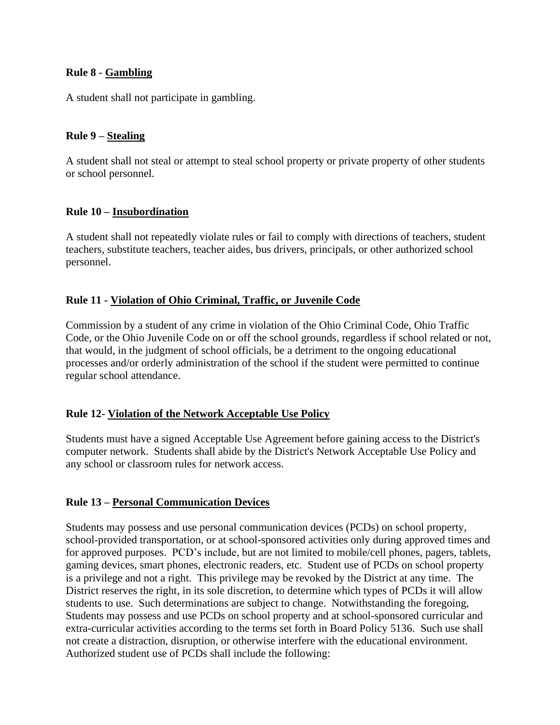# **Rule 8 - Gambling**

A student shall not participate in gambling.

### **Rule 9 – Stealing**

A student shall not steal or attempt to steal school property or private property of other students or school personnel.

#### **Rule 10 – Insubordination**

A student shall not repeatedly violate rules or fail to comply with directions of teachers, student teachers, substitute teachers, teacher aides, bus drivers, principals, or other authorized school personnel.

#### **Rule 11 - Violation of Ohio Criminal, Traffic, or Juvenile Code**

Commission by a student of any crime in violation of the Ohio Criminal Code, Ohio Traffic Code, or the Ohio Juvenile Code on or off the school grounds, regardless if school related or not, that would, in the judgment of school officials, be a detriment to the ongoing educational processes and/or orderly administration of the school if the student were permitted to continue regular school attendance.

#### **Rule 12- Violation of the Network Acceptable Use Policy**

Students must have a signed Acceptable Use Agreement before gaining access to the District's computer network. Students shall abide by the District's Network Acceptable Use Policy and any school or classroom rules for network access.

#### **Rule 13 – Personal Communication Devices**

Students may possess and use personal communication devices (PCDs) on school property, school-provided transportation, or at school-sponsored activities only during approved times and for approved purposes. PCD's include, but are not limited to mobile/cell phones, pagers, tablets, gaming devices, smart phones, electronic readers, etc. Student use of PCDs on school property is a privilege and not a right. This privilege may be revoked by the District at any time. The District reserves the right, in its sole discretion, to determine which types of PCDs it will allow students to use. Such determinations are subject to change. Notwithstanding the foregoing, Students may possess and use PCDs on school property and at school-sponsored curricular and extra-curricular activities according to the terms set forth in Board Policy 5136. Such use shall not create a distraction, disruption, or otherwise interfere with the educational environment. Authorized student use of PCDs shall include the following: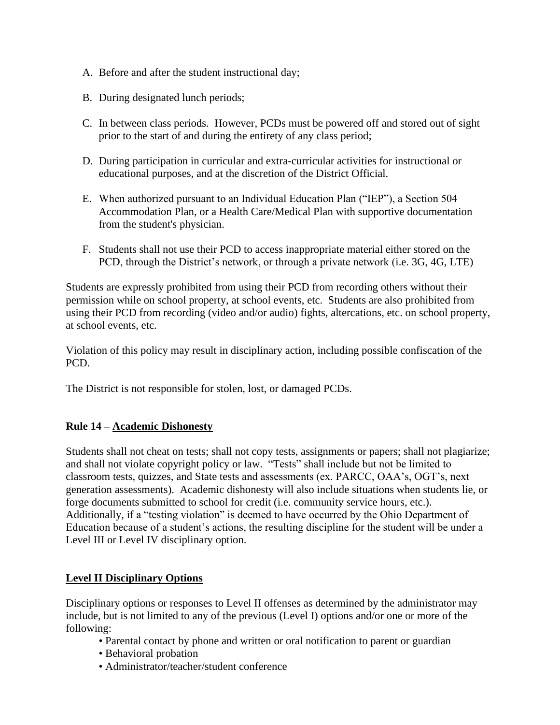- A. Before and after the student instructional day;
- B. During designated lunch periods;
- C. In between class periods. However, PCDs must be powered off and stored out of sight prior to the start of and during the entirety of any class period;
- D. During participation in curricular and extra-curricular activities for instructional or educational purposes, and at the discretion of the District Official.
- E. When authorized pursuant to an Individual Education Plan ("IEP"), a Section 504 Accommodation Plan, or a Health Care/Medical Plan with supportive documentation from the student's physician.
- F. Students shall not use their PCD to access inappropriate material either stored on the PCD, through the District's network, or through a private network (i.e. 3G, 4G, LTE)

Students are expressly prohibited from using their PCD from recording others without their permission while on school property, at school events, etc. Students are also prohibited from using their PCD from recording (video and/or audio) fights, altercations, etc. on school property, at school events, etc.

Violation of this policy may result in disciplinary action, including possible confiscation of the PCD.

The District is not responsible for stolen, lost, or damaged PCDs.

# **Rule 14 – Academic Dishonesty**

Students shall not cheat on tests; shall not copy tests, assignments or papers; shall not plagiarize; and shall not violate copyright policy or law. "Tests" shall include but not be limited to classroom tests, quizzes, and State tests and assessments (ex. PARCC, OAA's, OGT's, next generation assessments). Academic dishonesty will also include situations when students lie, or forge documents submitted to school for credit (i.e. community service hours, etc.). Additionally, if a "testing violation" is deemed to have occurred by the Ohio Department of Education because of a student's actions, the resulting discipline for the student will be under a Level III or Level IV disciplinary option.

# **Level II Disciplinary Options**

Disciplinary options or responses to Level II offenses as determined by the administrator may include, but is not limited to any of the previous (Level I) options and/or one or more of the following:

- Parental contact by phone and written or oral notification to parent or guardian
- Behavioral probation
- Administrator/teacher/student conference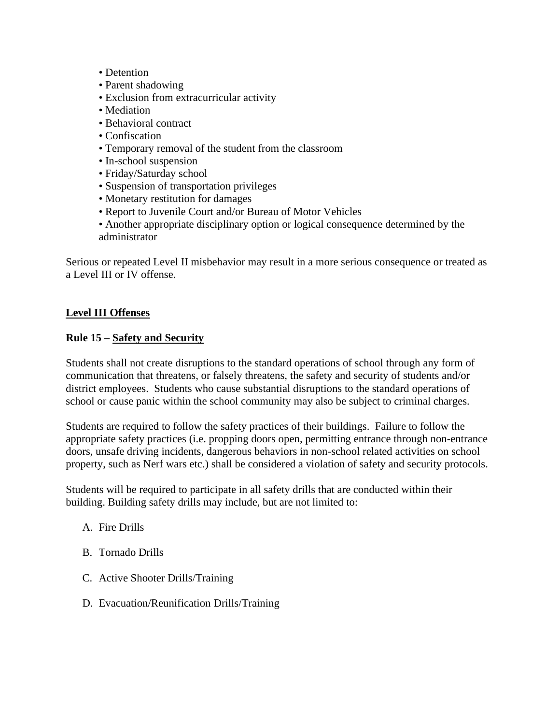- Detention
- Parent shadowing
- Exclusion from extracurricular activity
- Mediation
- Behavioral contract
- Confiscation
- Temporary removal of the student from the classroom
- In-school suspension
- Friday/Saturday school
- Suspension of transportation privileges
- Monetary restitution for damages
- Report to Juvenile Court and/or Bureau of Motor Vehicles
- Another appropriate disciplinary option or logical consequence determined by the administrator

Serious or repeated Level II misbehavior may result in a more serious consequence or treated as a Level III or IV offense.

#### **Level III Offenses**

#### **Rule 15 – Safety and Security**

Students shall not create disruptions to the standard operations of school through any form of communication that threatens, or falsely threatens, the safety and security of students and/or district employees. Students who cause substantial disruptions to the standard operations of school or cause panic within the school community may also be subject to criminal charges.

Students are required to follow the safety practices of their buildings. Failure to follow the appropriate safety practices (i.e. propping doors open, permitting entrance through non-entrance doors, unsafe driving incidents, dangerous behaviors in non-school related activities on school property, such as Nerf wars etc.) shall be considered a violation of safety and security protocols.

Students will be required to participate in all safety drills that are conducted within their building. Building safety drills may include, but are not limited to:

- A. Fire Drills
- B. Tornado Drills
- C. Active Shooter Drills/Training
- D. Evacuation/Reunification Drills/Training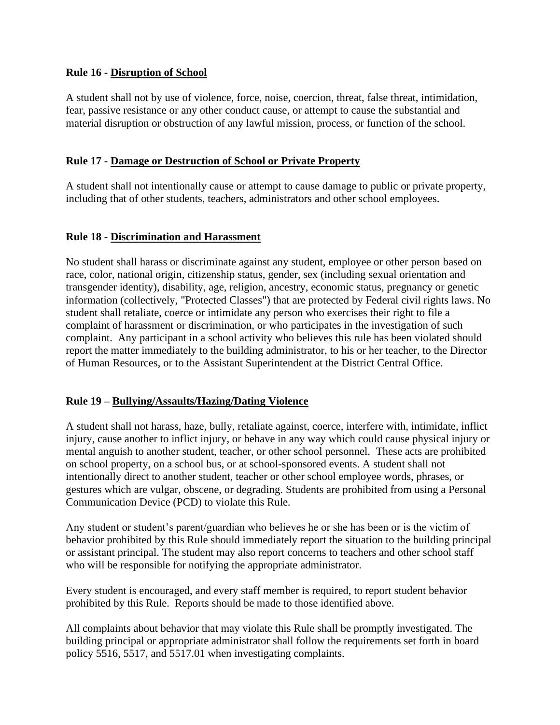#### **Rule 16 - Disruption of School**

A student shall not by use of violence, force, noise, coercion, threat, false threat, intimidation, fear, passive resistance or any other conduct cause, or attempt to cause the substantial and material disruption or obstruction of any lawful mission, process, or function of the school.

### **Rule 17 - Damage or Destruction of School or Private Property**

A student shall not intentionally cause or attempt to cause damage to public or private property, including that of other students, teachers, administrators and other school employees.

#### **Rule 18 - Discrimination and Harassment**

No student shall harass or discriminate against any student, employee or other person based on race, color, national origin, citizenship status, gender, sex (including sexual orientation and transgender identity), disability, age, religion, ancestry, economic status, pregnancy or genetic information (collectively, "Protected Classes") that are protected by Federal civil rights laws. No student shall retaliate, coerce or intimidate any person who exercises their right to file a complaint of harassment or discrimination, or who participates in the investigation of such complaint. Any participant in a school activity who believes this rule has been violated should report the matter immediately to the building administrator, to his or her teacher, to the Director of Human Resources, or to the Assistant Superintendent at the District Central Office.

#### **Rule 19 – Bullying/Assaults/Hazing/Dating Violence**

A student shall not harass, haze, bully, retaliate against, coerce, interfere with, intimidate, inflict injury, cause another to inflict injury, or behave in any way which could cause physical injury or mental anguish to another student, teacher, or other school personnel. These acts are prohibited on school property, on a school bus, or at school-sponsored events. A student shall not intentionally direct to another student, teacher or other school employee words, phrases, or gestures which are vulgar, obscene, or degrading. Students are prohibited from using a Personal Communication Device (PCD) to violate this Rule.

Any student or student's parent/guardian who believes he or she has been or is the victim of behavior prohibited by this Rule should immediately report the situation to the building principal or assistant principal. The student may also report concerns to teachers and other school staff who will be responsible for notifying the appropriate administrator.

Every student is encouraged, and every staff member is required, to report student behavior prohibited by this Rule. Reports should be made to those identified above.

All complaints about behavior that may violate this Rule shall be promptly investigated. The building principal or appropriate administrator shall follow the requirements set forth in board policy 5516, 5517, and 5517.01 when investigating complaints.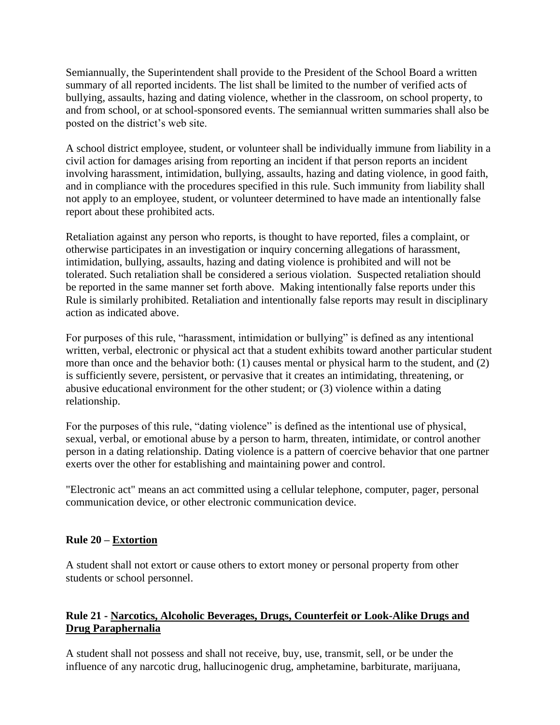Semiannually, the Superintendent shall provide to the President of the School Board a written summary of all reported incidents. The list shall be limited to the number of verified acts of bullying, assaults, hazing and dating violence, whether in the classroom, on school property, to and from school, or at school-sponsored events. The semiannual written summaries shall also be posted on the district's web site.

A school district employee, student, or volunteer shall be individually immune from liability in a civil action for damages arising from reporting an incident if that person reports an incident involving harassment, intimidation, bullying, assaults, hazing and dating violence, in good faith, and in compliance with the procedures specified in this rule. Such immunity from liability shall not apply to an employee, student, or volunteer determined to have made an intentionally false report about these prohibited acts.

Retaliation against any person who reports, is thought to have reported, files a complaint, or otherwise participates in an investigation or inquiry concerning allegations of harassment, intimidation, bullying, assaults, hazing and dating violence is prohibited and will not be tolerated. Such retaliation shall be considered a serious violation. Suspected retaliation should be reported in the same manner set forth above. Making intentionally false reports under this Rule is similarly prohibited. Retaliation and intentionally false reports may result in disciplinary action as indicated above.

For purposes of this rule, "harassment, intimidation or bullying" is defined as any intentional written, verbal, electronic or physical act that a student exhibits toward another particular student more than once and the behavior both: (1) causes mental or physical harm to the student, and (2) is sufficiently severe, persistent, or pervasive that it creates an intimidating, threatening, or abusive educational environment for the other student; or (3) violence within a dating relationship.

For the purposes of this rule, "dating violence" is defined as the intentional use of physical, sexual, verbal, or emotional abuse by a person to harm, threaten, intimidate, or control another person in a dating relationship. Dating violence is a pattern of coercive behavior that one partner exerts over the other for establishing and maintaining power and control.

"Electronic act" means an act committed using a cellular telephone, computer, pager, personal communication device, or other electronic communication device.

# **Rule 20 – Extortion**

A student shall not extort or cause others to extort money or personal property from other students or school personnel.

# **Rule 21 - Narcotics, Alcoholic Beverages, Drugs, Counterfeit or Look-Alike Drugs and Drug Paraphernalia**

A student shall not possess and shall not receive, buy, use, transmit, sell, or be under the influence of any narcotic drug, hallucinogenic drug, amphetamine, barbiturate, marijuana,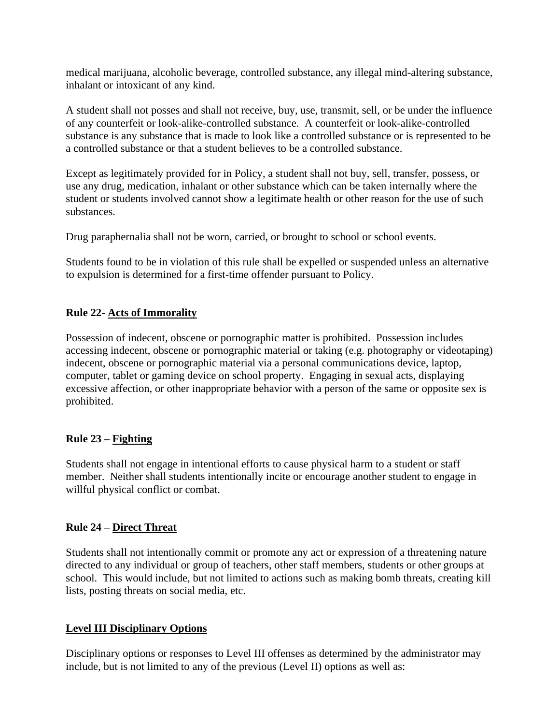medical marijuana, alcoholic beverage, controlled substance, any illegal mind-altering substance, inhalant or intoxicant of any kind.

A student shall not posses and shall not receive, buy, use, transmit, sell, or be under the influence of any counterfeit or look-alike-controlled substance. A counterfeit or look-alike-controlled substance is any substance that is made to look like a controlled substance or is represented to be a controlled substance or that a student believes to be a controlled substance.

Except as legitimately provided for in Policy, a student shall not buy, sell, transfer, possess, or use any drug, medication, inhalant or other substance which can be taken internally where the student or students involved cannot show a legitimate health or other reason for the use of such substances.

Drug paraphernalia shall not be worn, carried, or brought to school or school events.

Students found to be in violation of this rule shall be expelled or suspended unless an alternative to expulsion is determined for a first-time offender pursuant to Policy.

# **Rule 22- Acts of Immorality**

Possession of indecent, obscene or pornographic matter is prohibited. Possession includes accessing indecent, obscene or pornographic material or taking (e.g. photography or videotaping) indecent, obscene or pornographic material via a personal communications device, laptop, computer, tablet or gaming device on school property. Engaging in sexual acts, displaying excessive affection, or other inappropriate behavior with a person of the same or opposite sex is prohibited.

# **Rule 23 – Fighting**

Students shall not engage in intentional efforts to cause physical harm to a student or staff member. Neither shall students intentionally incite or encourage another student to engage in willful physical conflict or combat.

# **Rule 24 – Direct Threat**

Students shall not intentionally commit or promote any act or expression of a threatening nature directed to any individual or group of teachers, other staff members, students or other groups at school. This would include, but not limited to actions such as making bomb threats, creating kill lists, posting threats on social media, etc.

# **Level III Disciplinary Options**

Disciplinary options or responses to Level III offenses as determined by the administrator may include, but is not limited to any of the previous (Level II) options as well as: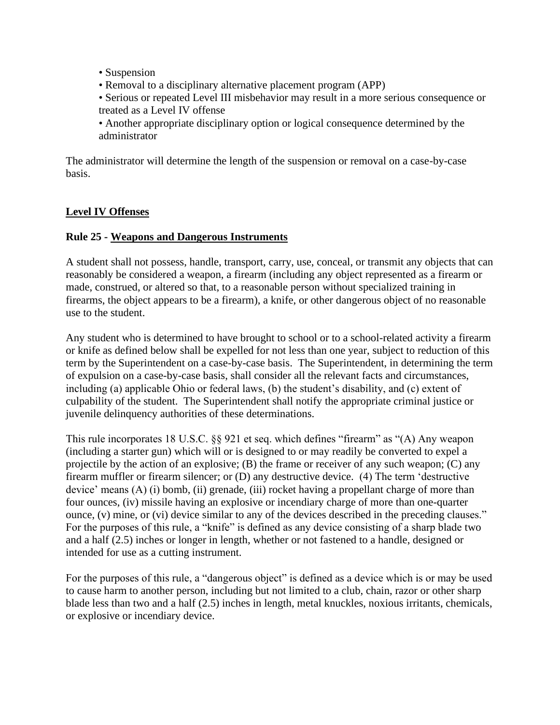- Suspension
- Removal to a disciplinary alternative placement program (APP)
- Serious or repeated Level III misbehavior may result in a more serious consequence or treated as a Level IV offense

• Another appropriate disciplinary option or logical consequence determined by the administrator

The administrator will determine the length of the suspension or removal on a case-by-case basis.

# **Level IV Offenses**

#### **Rule 25 - Weapons and Dangerous Instruments**

A student shall not possess, handle, transport, carry, use, conceal, or transmit any objects that can reasonably be considered a weapon, a firearm (including any object represented as a firearm or made, construed, or altered so that, to a reasonable person without specialized training in firearms, the object appears to be a firearm), a knife, or other dangerous object of no reasonable use to the student.

Any student who is determined to have brought to school or to a school-related activity a firearm or knife as defined below shall be expelled for not less than one year, subject to reduction of this term by the Superintendent on a case-by-case basis. The Superintendent, in determining the term of expulsion on a case-by-case basis, shall consider all the relevant facts and circumstances, including (a) applicable Ohio or federal laws, (b) the student's disability, and (c) extent of culpability of the student. The Superintendent shall notify the appropriate criminal justice or juvenile delinquency authorities of these determinations.

This rule incorporates 18 U.S.C. §§ 921 et seq. which defines "firearm" as "(A) Any weapon (including a starter gun) which will or is designed to or may readily be converted to expel a projectile by the action of an explosive; (B) the frame or receiver of any such weapon; (C) any firearm muffler or firearm silencer; or (D) any destructive device. (4) The term 'destructive device' means (A) (i) bomb, (ii) grenade, (iii) rocket having a propellant charge of more than four ounces, (iv) missile having an explosive or incendiary charge of more than one-quarter ounce, (v) mine, or (vi) device similar to any of the devices described in the preceding clauses." For the purposes of this rule, a "knife" is defined as any device consisting of a sharp blade two and a half (2.5) inches or longer in length, whether or not fastened to a handle, designed or intended for use as a cutting instrument.

For the purposes of this rule, a "dangerous object" is defined as a device which is or may be used to cause harm to another person, including but not limited to a club, chain, razor or other sharp blade less than two and a half (2.5) inches in length, metal knuckles, noxious irritants, chemicals, or explosive or incendiary device.